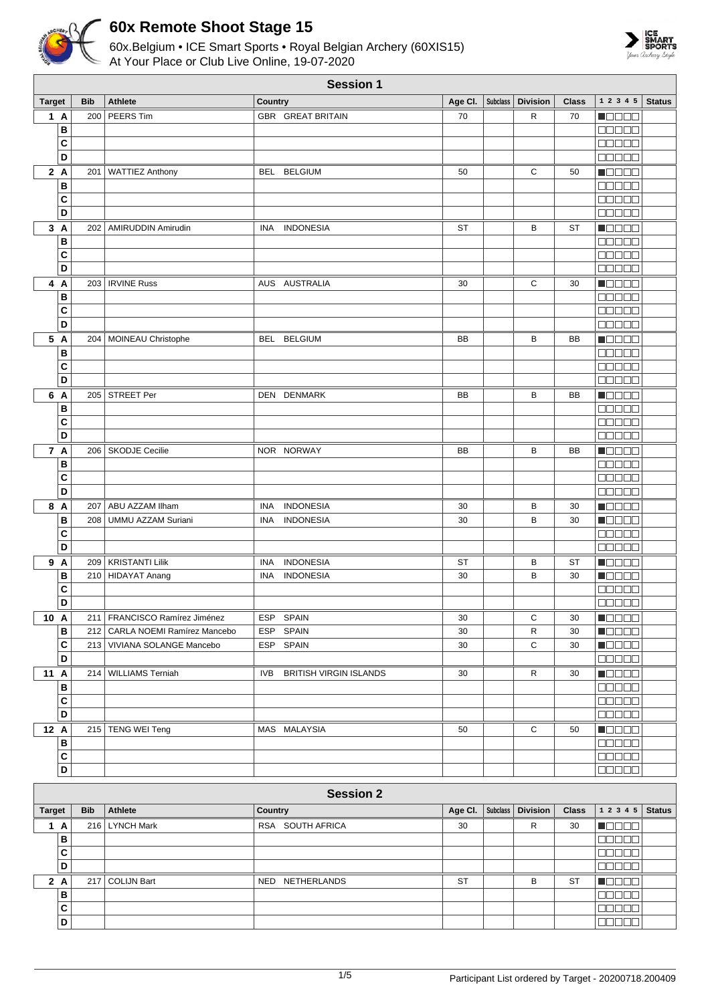



|                      | <b>Session 1</b> |                                              |                                                                  |          |                 |                 |              |                                                              |               |  |  |
|----------------------|------------------|----------------------------------------------|------------------------------------------------------------------|----------|-----------------|-----------------|--------------|--------------------------------------------------------------|---------------|--|--|
| <b>Target</b>        | <b>Bib</b>       | <b>Athlete</b>                               | Country                                                          | Age Cl.  | Subclass        | <b>Division</b> | <b>Class</b> | 1 2 3 4 5                                                    | <b>Status</b> |  |  |
| 1 A                  |                  | 200 PEERS Tim                                | <b>GBR GREAT BRITAIN</b>                                         | 70       |                 | R               | 70           | n an Dio                                                     |               |  |  |
| в                    |                  |                                              |                                                                  |          |                 |                 |              | 00000                                                        |               |  |  |
| C                    |                  |                                              |                                                                  |          |                 |                 |              | 00000                                                        |               |  |  |
| D                    |                  |                                              |                                                                  |          |                 |                 |              | <b>00000</b>                                                 |               |  |  |
| 2A                   |                  | 201   WATTIEZ Anthony                        | BEL BELGIUM                                                      | 50       |                 | С               | 50           | n do oc                                                      |               |  |  |
| в                    |                  |                                              |                                                                  |          |                 |                 |              | an de L                                                      |               |  |  |
| C<br>D               |                  |                                              |                                                                  |          |                 |                 |              | 00000<br><b>BBBBB</b>                                        |               |  |  |
|                      |                  |                                              |                                                                  |          |                 |                 |              |                                                              |               |  |  |
| 3A<br>B              | 202              | AMIRUDDIN Amirudin                           | <b>INDONESIA</b><br><b>INA</b>                                   | ST       |                 | B               | <b>ST</b>    | M D D D U<br>$\Box$ $\Box$ $\Box$ $\Box$                     |               |  |  |
| C                    |                  |                                              |                                                                  |          |                 |                 |              | <b>00000</b>                                                 |               |  |  |
| D                    |                  |                                              |                                                                  |          |                 |                 |              | <b>COOOO</b>                                                 |               |  |  |
| 4 A                  |                  | 203   IRVINE Russ                            | AUS AUSTRALIA                                                    | 30       |                 | С               | 30           | N B B B B                                                    |               |  |  |
| в                    |                  |                                              |                                                                  |          |                 |                 |              | <b>OBBOL</b>                                                 |               |  |  |
| C                    |                  |                                              |                                                                  |          |                 |                 |              | 00000                                                        |               |  |  |
| D                    |                  |                                              |                                                                  |          |                 |                 |              | <b>ODDDD</b>                                                 |               |  |  |
| 5 A                  |                  | 204   MOINEAU Christophe                     | BEL BELGIUM                                                      | BB       |                 | В               | BB           | n da sa                                                      |               |  |  |
| B                    |                  |                                              |                                                                  |          |                 |                 |              | 00000                                                        |               |  |  |
| C                    |                  |                                              |                                                                  |          |                 |                 |              | 00000                                                        |               |  |  |
| D                    |                  |                                              |                                                                  |          |                 |                 |              |                                                              |               |  |  |
| 6 A                  |                  | 205 STREET Per                               | DEN DENMARK                                                      | BB       |                 | B               | BB           | <b>MODOO</b>                                                 |               |  |  |
| в                    |                  |                                              |                                                                  |          |                 |                 |              | 00000                                                        |               |  |  |
| C                    |                  |                                              |                                                                  |          |                 |                 |              | 00000                                                        |               |  |  |
| D                    |                  |                                              |                                                                  |          |                 |                 |              | $\Box$ $\Box$ $\Box$ $\Box$ $\Box$                           |               |  |  |
| 7 A                  |                  | 206   SKODJE Cecilie                         | NOR NORWAY                                                       | BB       |                 | В               | BB           | N O O O O                                                    |               |  |  |
| B                    |                  |                                              |                                                                  |          |                 |                 |              | 88888                                                        |               |  |  |
| C<br>D               |                  |                                              |                                                                  |          |                 |                 |              | an da a                                                      |               |  |  |
| 8 A                  |                  |                                              |                                                                  |          |                 |                 |              | Maaaa                                                        |               |  |  |
| B                    | 207<br>208       | ABU AZZAM Ilham<br><b>UMMU AZZAM Suriani</b> | <b>INDONESIA</b><br><b>INA</b><br><b>INDONESIA</b><br><b>INA</b> | 30<br>30 |                 | в<br>B          | 30<br>30     | Maaaa<br>TOOOC                                               |               |  |  |
| C                    |                  |                                              |                                                                  |          |                 |                 |              | 00000                                                        |               |  |  |
| D                    |                  |                                              |                                                                  |          |                 |                 |              | <b>ODDDD</b>                                                 |               |  |  |
| 9 A                  |                  | 209   KRISTANTI Lilik                        | <b>INDONESIA</b><br><b>INA</b>                                   | ST       |                 | в               | <b>ST</b>    | N B B B B                                                    |               |  |  |
| в                    |                  | 210 HIDAYAT Anang                            | <b>INDONESIA</b><br><b>INA</b>                                   | 30       |                 | B               | 30           | Maaaa                                                        |               |  |  |
| C                    |                  |                                              |                                                                  |          |                 |                 |              | 0000C                                                        |               |  |  |
| D                    |                  |                                              |                                                                  |          |                 |                 |              | <b>00000</b>                                                 |               |  |  |
| 10 A                 |                  | 211   FRANCISCO Ramírez Jiménez              | ESP SPAIN                                                        | 30       |                 | С               | 30           | $\blacksquare$                                               |               |  |  |
| В                    |                  | 212   CARLA NOEMI Ramírez Mancebo            | ESP SPAIN                                                        | 30       |                 | $\mathsf R$     | 30           | <b>M</b> OOOO                                                |               |  |  |
| C                    |                  | 213 VIVIANA SOLANGE Mancebo                  | ESP SPAIN                                                        | 30       |                 | C               | 30           | Maaaa                                                        |               |  |  |
| D                    |                  |                                              |                                                                  |          |                 |                 |              | 88888                                                        |               |  |  |
| 11 A                 |                  | 214 WILLIAMS Terniah                         | IVB BRITISH VIRGIN ISLANDS                                       | 30       |                 | R               | 30           | <b>NOBED</b>                                                 |               |  |  |
| В                    |                  |                                              |                                                                  |          |                 |                 |              | <b>BBBBB</b>                                                 |               |  |  |
| C<br>$\overline{D}$  |                  |                                              |                                                                  |          |                 |                 |              | $\Box$ $\Box$ $\Box$ $\Box$ $\Box$                           |               |  |  |
|                      |                  |                                              |                                                                  |          |                 |                 |              | 00000                                                        |               |  |  |
| 12 A<br>$\, {\bf B}$ |                  | 215   TENG WEI Teng                          | MAS MALAYSIA                                                     | 50       |                 | С               | 50           | Maaaa<br><b>00000</b>                                        |               |  |  |
| $\mathbf{C}$         |                  |                                              |                                                                  |          |                 |                 |              | 00000                                                        |               |  |  |
| $\overline{D}$       |                  |                                              |                                                                  |          |                 |                 |              | 00000                                                        |               |  |  |
|                      |                  |                                              |                                                                  |          |                 |                 |              |                                                              |               |  |  |
|                      |                  |                                              | <b>Session 2</b>                                                 |          |                 |                 |              |                                                              |               |  |  |
| <b>Target</b>        | <b>Bib</b>       | <b>Athlete</b>                               | Country                                                          | Age Cl.  | <b>Subclass</b> | <b>Division</b> | <b>Class</b> | $1\ 2\ 3\ 4\ 5$                                              | <b>Status</b> |  |  |
| 1A                   |                  | 216   LYNCH Mark                             | RSA SOUTH AFRICA                                                 | 30       |                 | R               | 30           | <u> NOBEL</u><br>$\qquad \qquad \overbrace{ \qquad \qquad }$ |               |  |  |

| <b>Target</b> |   | <b>Bib</b> | Athlete           | Country          | Age CI.   | Subclass Division   Class |           | 12345 | <b>Status</b> |
|---------------|---|------------|-------------------|------------------|-----------|---------------------------|-----------|-------|---------------|
|               | A |            | 216   LYNCH Mark  | RSA SOUTH AFRICA | 30        | R                         | 30        |       |               |
|               | в |            |                   |                  |           |                           |           |       |               |
|               | C |            |                   |                  |           |                           |           |       |               |
|               | D |            |                   |                  |           |                           |           |       |               |
| 2             | A |            | 217   COLIJN Bart | NED NETHERLANDS  | <b>ST</b> | B                         | <b>ST</b> |       |               |
|               | в |            |                   |                  |           |                           |           |       |               |
|               | C |            |                   |                  |           |                           |           |       |               |
|               | D |            |                   |                  |           |                           |           |       |               |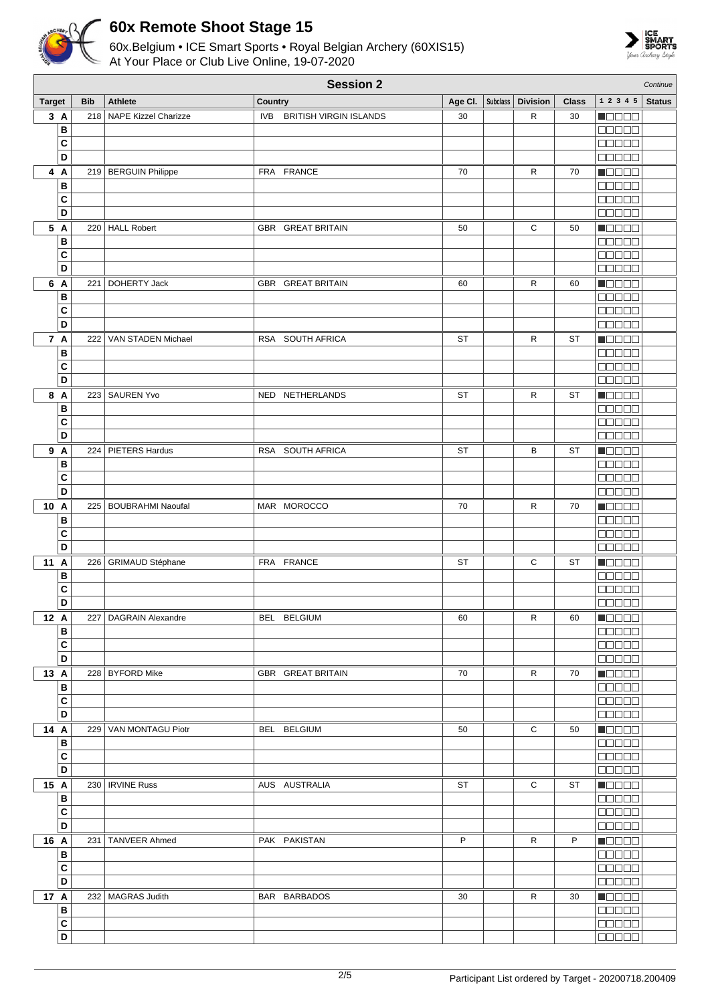



| Age CI.   Subclass   Division<br>1 2 3 4 5<br><b>Target</b><br><b>Bib</b><br><b>Athlete</b><br>Country<br><b>Class</b><br>218 NAPE Kizzel Charizze<br>IVB BRITISH VIRGIN ISLANDS<br>R<br>3A<br>30<br>30<br><b>NEBEE</b><br>B<br>00000<br>C<br><b>BBBBB</b><br>D<br><b>00000</b><br>Maaaa<br>219   BERGUIN Philippe<br>FRA FRANCE<br>70<br>R<br>70<br>4 A<br>B<br><b>BBBBB</b><br>C<br>00000<br>D<br>88888<br>5 A<br>220 HALL Robert<br>С<br>Maaaa<br><b>GBR GREAT BRITAIN</b><br>50<br>50<br>в<br>88888<br>C<br>00000<br>D<br>ME E E E<br>6<br>Maaaa<br>A<br>DOHERTY Jack<br>GBR GREAT BRITAIN<br>R<br>60<br>221<br>60<br>B<br><b>BOBBO</b><br>C<br>88888<br>D<br><b>00000</b><br>7 A<br>VAN STADEN Michael<br>R<br>222<br>RSA SOUTH AFRICA<br><b>ST</b><br><b>ST</b><br>▏▕▆▏▆▎▆▏▆<br>B<br>88888<br>C<br>aa aa a<br>D<br>nn nn n<br>223 SAUREN Yvo<br>NED NETHERLANDS<br><b>ST</b><br>R<br><b>ST</b><br><b>Manag</b><br>8 A<br>B<br>88888<br>C<br>88888<br>D<br>00000<br>9 A<br>Maaaa<br>224   PIETERS Hardus<br>RSA SOUTH AFRICA<br>В<br>ST<br>ST<br>00000<br>В<br>C<br>00000<br>D<br>88888<br>10<br>MOOOO<br>A<br>225   BOUBRAHMI Naoufal<br>MAR MOROCCO<br>R<br>70<br>70<br>B<br>88888<br>C<br>88888<br>D<br>a da da<br>11<br>С<br>$\blacksquare$<br>$\mathsf{A}$<br>226 GRIMAUD Stéphane<br>FRA FRANCE<br><b>ST</b><br><b>ST</b><br>$\, {\bf B}$<br>88888<br>C<br><b>NODOO</b><br>D<br>00000<br>227   DAGRAIN Alexandre<br>BEL BELGIUM<br>R<br>12 A<br>60<br>60<br>$\blacksquare$<br>00000<br>B<br>C<br>00000<br>D<br><b>00000</b><br>228   BYFORD Mike<br><b>GBR GREAT BRITAIN</b><br>$\mathsf{R}$<br><b>MODDE</b><br>13 A<br>70<br>70<br><b>00000</b><br>В<br>C<br><b>00000</b><br>D<br><b>BBBBB</b><br>$\blacksquare$<br>14 A<br>$\mathbf C$<br>229   VAN MONTAGU Piotr<br>BEL BELGIUM<br>50<br>50<br>00000<br>В<br>C<br>00000<br>D<br>00000<br>15 A<br>$\blacksquare$<br>230   IRVINE Russ<br>AUS AUSTRALIA<br>ST<br>С<br>ST<br>B<br>00000<br>$\mathbf{C}$<br>00000<br>D<br><b>BBBBB</b><br>16 A<br><b>H</b> OOOO<br>231   TANVEER Ahmed<br>PAK PAKISTAN<br>P<br>P<br>R<br>B<br><b>00000</b><br>C<br><b>BBBBB</b><br>D<br><b>00000</b> | <b>Session 2</b> |  |  |  |  |  |  |  |  | Continue      |
|------------------------------------------------------------------------------------------------------------------------------------------------------------------------------------------------------------------------------------------------------------------------------------------------------------------------------------------------------------------------------------------------------------------------------------------------------------------------------------------------------------------------------------------------------------------------------------------------------------------------------------------------------------------------------------------------------------------------------------------------------------------------------------------------------------------------------------------------------------------------------------------------------------------------------------------------------------------------------------------------------------------------------------------------------------------------------------------------------------------------------------------------------------------------------------------------------------------------------------------------------------------------------------------------------------------------------------------------------------------------------------------------------------------------------------------------------------------------------------------------------------------------------------------------------------------------------------------------------------------------------------------------------------------------------------------------------------------------------------------------------------------------------------------------------------------------------------------------------------------------------------------------------------------------------------------------------------------------------------------------------------------------------------------------------------------------------------------------------------------------------------------------|------------------|--|--|--|--|--|--|--|--|---------------|
|                                                                                                                                                                                                                                                                                                                                                                                                                                                                                                                                                                                                                                                                                                                                                                                                                                                                                                                                                                                                                                                                                                                                                                                                                                                                                                                                                                                                                                                                                                                                                                                                                                                                                                                                                                                                                                                                                                                                                                                                                                                                                                                                                |                  |  |  |  |  |  |  |  |  | <b>Status</b> |
|                                                                                                                                                                                                                                                                                                                                                                                                                                                                                                                                                                                                                                                                                                                                                                                                                                                                                                                                                                                                                                                                                                                                                                                                                                                                                                                                                                                                                                                                                                                                                                                                                                                                                                                                                                                                                                                                                                                                                                                                                                                                                                                                                |                  |  |  |  |  |  |  |  |  |               |
|                                                                                                                                                                                                                                                                                                                                                                                                                                                                                                                                                                                                                                                                                                                                                                                                                                                                                                                                                                                                                                                                                                                                                                                                                                                                                                                                                                                                                                                                                                                                                                                                                                                                                                                                                                                                                                                                                                                                                                                                                                                                                                                                                |                  |  |  |  |  |  |  |  |  |               |
|                                                                                                                                                                                                                                                                                                                                                                                                                                                                                                                                                                                                                                                                                                                                                                                                                                                                                                                                                                                                                                                                                                                                                                                                                                                                                                                                                                                                                                                                                                                                                                                                                                                                                                                                                                                                                                                                                                                                                                                                                                                                                                                                                |                  |  |  |  |  |  |  |  |  |               |
|                                                                                                                                                                                                                                                                                                                                                                                                                                                                                                                                                                                                                                                                                                                                                                                                                                                                                                                                                                                                                                                                                                                                                                                                                                                                                                                                                                                                                                                                                                                                                                                                                                                                                                                                                                                                                                                                                                                                                                                                                                                                                                                                                |                  |  |  |  |  |  |  |  |  |               |
|                                                                                                                                                                                                                                                                                                                                                                                                                                                                                                                                                                                                                                                                                                                                                                                                                                                                                                                                                                                                                                                                                                                                                                                                                                                                                                                                                                                                                                                                                                                                                                                                                                                                                                                                                                                                                                                                                                                                                                                                                                                                                                                                                |                  |  |  |  |  |  |  |  |  |               |
|                                                                                                                                                                                                                                                                                                                                                                                                                                                                                                                                                                                                                                                                                                                                                                                                                                                                                                                                                                                                                                                                                                                                                                                                                                                                                                                                                                                                                                                                                                                                                                                                                                                                                                                                                                                                                                                                                                                                                                                                                                                                                                                                                |                  |  |  |  |  |  |  |  |  |               |
|                                                                                                                                                                                                                                                                                                                                                                                                                                                                                                                                                                                                                                                                                                                                                                                                                                                                                                                                                                                                                                                                                                                                                                                                                                                                                                                                                                                                                                                                                                                                                                                                                                                                                                                                                                                                                                                                                                                                                                                                                                                                                                                                                |                  |  |  |  |  |  |  |  |  |               |
|                                                                                                                                                                                                                                                                                                                                                                                                                                                                                                                                                                                                                                                                                                                                                                                                                                                                                                                                                                                                                                                                                                                                                                                                                                                                                                                                                                                                                                                                                                                                                                                                                                                                                                                                                                                                                                                                                                                                                                                                                                                                                                                                                |                  |  |  |  |  |  |  |  |  |               |
|                                                                                                                                                                                                                                                                                                                                                                                                                                                                                                                                                                                                                                                                                                                                                                                                                                                                                                                                                                                                                                                                                                                                                                                                                                                                                                                                                                                                                                                                                                                                                                                                                                                                                                                                                                                                                                                                                                                                                                                                                                                                                                                                                |                  |  |  |  |  |  |  |  |  |               |
|                                                                                                                                                                                                                                                                                                                                                                                                                                                                                                                                                                                                                                                                                                                                                                                                                                                                                                                                                                                                                                                                                                                                                                                                                                                                                                                                                                                                                                                                                                                                                                                                                                                                                                                                                                                                                                                                                                                                                                                                                                                                                                                                                |                  |  |  |  |  |  |  |  |  |               |
|                                                                                                                                                                                                                                                                                                                                                                                                                                                                                                                                                                                                                                                                                                                                                                                                                                                                                                                                                                                                                                                                                                                                                                                                                                                                                                                                                                                                                                                                                                                                                                                                                                                                                                                                                                                                                                                                                                                                                                                                                                                                                                                                                |                  |  |  |  |  |  |  |  |  |               |
|                                                                                                                                                                                                                                                                                                                                                                                                                                                                                                                                                                                                                                                                                                                                                                                                                                                                                                                                                                                                                                                                                                                                                                                                                                                                                                                                                                                                                                                                                                                                                                                                                                                                                                                                                                                                                                                                                                                                                                                                                                                                                                                                                |                  |  |  |  |  |  |  |  |  |               |
|                                                                                                                                                                                                                                                                                                                                                                                                                                                                                                                                                                                                                                                                                                                                                                                                                                                                                                                                                                                                                                                                                                                                                                                                                                                                                                                                                                                                                                                                                                                                                                                                                                                                                                                                                                                                                                                                                                                                                                                                                                                                                                                                                |                  |  |  |  |  |  |  |  |  |               |
|                                                                                                                                                                                                                                                                                                                                                                                                                                                                                                                                                                                                                                                                                                                                                                                                                                                                                                                                                                                                                                                                                                                                                                                                                                                                                                                                                                                                                                                                                                                                                                                                                                                                                                                                                                                                                                                                                                                                                                                                                                                                                                                                                |                  |  |  |  |  |  |  |  |  |               |
|                                                                                                                                                                                                                                                                                                                                                                                                                                                                                                                                                                                                                                                                                                                                                                                                                                                                                                                                                                                                                                                                                                                                                                                                                                                                                                                                                                                                                                                                                                                                                                                                                                                                                                                                                                                                                                                                                                                                                                                                                                                                                                                                                |                  |  |  |  |  |  |  |  |  |               |
|                                                                                                                                                                                                                                                                                                                                                                                                                                                                                                                                                                                                                                                                                                                                                                                                                                                                                                                                                                                                                                                                                                                                                                                                                                                                                                                                                                                                                                                                                                                                                                                                                                                                                                                                                                                                                                                                                                                                                                                                                                                                                                                                                |                  |  |  |  |  |  |  |  |  |               |
|                                                                                                                                                                                                                                                                                                                                                                                                                                                                                                                                                                                                                                                                                                                                                                                                                                                                                                                                                                                                                                                                                                                                                                                                                                                                                                                                                                                                                                                                                                                                                                                                                                                                                                                                                                                                                                                                                                                                                                                                                                                                                                                                                |                  |  |  |  |  |  |  |  |  |               |
|                                                                                                                                                                                                                                                                                                                                                                                                                                                                                                                                                                                                                                                                                                                                                                                                                                                                                                                                                                                                                                                                                                                                                                                                                                                                                                                                                                                                                                                                                                                                                                                                                                                                                                                                                                                                                                                                                                                                                                                                                                                                                                                                                |                  |  |  |  |  |  |  |  |  |               |
|                                                                                                                                                                                                                                                                                                                                                                                                                                                                                                                                                                                                                                                                                                                                                                                                                                                                                                                                                                                                                                                                                                                                                                                                                                                                                                                                                                                                                                                                                                                                                                                                                                                                                                                                                                                                                                                                                                                                                                                                                                                                                                                                                |                  |  |  |  |  |  |  |  |  |               |
|                                                                                                                                                                                                                                                                                                                                                                                                                                                                                                                                                                                                                                                                                                                                                                                                                                                                                                                                                                                                                                                                                                                                                                                                                                                                                                                                                                                                                                                                                                                                                                                                                                                                                                                                                                                                                                                                                                                                                                                                                                                                                                                                                |                  |  |  |  |  |  |  |  |  |               |
|                                                                                                                                                                                                                                                                                                                                                                                                                                                                                                                                                                                                                                                                                                                                                                                                                                                                                                                                                                                                                                                                                                                                                                                                                                                                                                                                                                                                                                                                                                                                                                                                                                                                                                                                                                                                                                                                                                                                                                                                                                                                                                                                                |                  |  |  |  |  |  |  |  |  |               |
|                                                                                                                                                                                                                                                                                                                                                                                                                                                                                                                                                                                                                                                                                                                                                                                                                                                                                                                                                                                                                                                                                                                                                                                                                                                                                                                                                                                                                                                                                                                                                                                                                                                                                                                                                                                                                                                                                                                                                                                                                                                                                                                                                |                  |  |  |  |  |  |  |  |  |               |
|                                                                                                                                                                                                                                                                                                                                                                                                                                                                                                                                                                                                                                                                                                                                                                                                                                                                                                                                                                                                                                                                                                                                                                                                                                                                                                                                                                                                                                                                                                                                                                                                                                                                                                                                                                                                                                                                                                                                                                                                                                                                                                                                                |                  |  |  |  |  |  |  |  |  |               |
|                                                                                                                                                                                                                                                                                                                                                                                                                                                                                                                                                                                                                                                                                                                                                                                                                                                                                                                                                                                                                                                                                                                                                                                                                                                                                                                                                                                                                                                                                                                                                                                                                                                                                                                                                                                                                                                                                                                                                                                                                                                                                                                                                |                  |  |  |  |  |  |  |  |  |               |
|                                                                                                                                                                                                                                                                                                                                                                                                                                                                                                                                                                                                                                                                                                                                                                                                                                                                                                                                                                                                                                                                                                                                                                                                                                                                                                                                                                                                                                                                                                                                                                                                                                                                                                                                                                                                                                                                                                                                                                                                                                                                                                                                                |                  |  |  |  |  |  |  |  |  |               |
|                                                                                                                                                                                                                                                                                                                                                                                                                                                                                                                                                                                                                                                                                                                                                                                                                                                                                                                                                                                                                                                                                                                                                                                                                                                                                                                                                                                                                                                                                                                                                                                                                                                                                                                                                                                                                                                                                                                                                                                                                                                                                                                                                |                  |  |  |  |  |  |  |  |  |               |
|                                                                                                                                                                                                                                                                                                                                                                                                                                                                                                                                                                                                                                                                                                                                                                                                                                                                                                                                                                                                                                                                                                                                                                                                                                                                                                                                                                                                                                                                                                                                                                                                                                                                                                                                                                                                                                                                                                                                                                                                                                                                                                                                                |                  |  |  |  |  |  |  |  |  |               |
|                                                                                                                                                                                                                                                                                                                                                                                                                                                                                                                                                                                                                                                                                                                                                                                                                                                                                                                                                                                                                                                                                                                                                                                                                                                                                                                                                                                                                                                                                                                                                                                                                                                                                                                                                                                                                                                                                                                                                                                                                                                                                                                                                |                  |  |  |  |  |  |  |  |  |               |
|                                                                                                                                                                                                                                                                                                                                                                                                                                                                                                                                                                                                                                                                                                                                                                                                                                                                                                                                                                                                                                                                                                                                                                                                                                                                                                                                                                                                                                                                                                                                                                                                                                                                                                                                                                                                                                                                                                                                                                                                                                                                                                                                                |                  |  |  |  |  |  |  |  |  |               |
|                                                                                                                                                                                                                                                                                                                                                                                                                                                                                                                                                                                                                                                                                                                                                                                                                                                                                                                                                                                                                                                                                                                                                                                                                                                                                                                                                                                                                                                                                                                                                                                                                                                                                                                                                                                                                                                                                                                                                                                                                                                                                                                                                |                  |  |  |  |  |  |  |  |  |               |
|                                                                                                                                                                                                                                                                                                                                                                                                                                                                                                                                                                                                                                                                                                                                                                                                                                                                                                                                                                                                                                                                                                                                                                                                                                                                                                                                                                                                                                                                                                                                                                                                                                                                                                                                                                                                                                                                                                                                                                                                                                                                                                                                                |                  |  |  |  |  |  |  |  |  |               |
|                                                                                                                                                                                                                                                                                                                                                                                                                                                                                                                                                                                                                                                                                                                                                                                                                                                                                                                                                                                                                                                                                                                                                                                                                                                                                                                                                                                                                                                                                                                                                                                                                                                                                                                                                                                                                                                                                                                                                                                                                                                                                                                                                |                  |  |  |  |  |  |  |  |  |               |
|                                                                                                                                                                                                                                                                                                                                                                                                                                                                                                                                                                                                                                                                                                                                                                                                                                                                                                                                                                                                                                                                                                                                                                                                                                                                                                                                                                                                                                                                                                                                                                                                                                                                                                                                                                                                                                                                                                                                                                                                                                                                                                                                                |                  |  |  |  |  |  |  |  |  |               |
|                                                                                                                                                                                                                                                                                                                                                                                                                                                                                                                                                                                                                                                                                                                                                                                                                                                                                                                                                                                                                                                                                                                                                                                                                                                                                                                                                                                                                                                                                                                                                                                                                                                                                                                                                                                                                                                                                                                                                                                                                                                                                                                                                |                  |  |  |  |  |  |  |  |  |               |
|                                                                                                                                                                                                                                                                                                                                                                                                                                                                                                                                                                                                                                                                                                                                                                                                                                                                                                                                                                                                                                                                                                                                                                                                                                                                                                                                                                                                                                                                                                                                                                                                                                                                                                                                                                                                                                                                                                                                                                                                                                                                                                                                                |                  |  |  |  |  |  |  |  |  |               |
|                                                                                                                                                                                                                                                                                                                                                                                                                                                                                                                                                                                                                                                                                                                                                                                                                                                                                                                                                                                                                                                                                                                                                                                                                                                                                                                                                                                                                                                                                                                                                                                                                                                                                                                                                                                                                                                                                                                                                                                                                                                                                                                                                |                  |  |  |  |  |  |  |  |  |               |
|                                                                                                                                                                                                                                                                                                                                                                                                                                                                                                                                                                                                                                                                                                                                                                                                                                                                                                                                                                                                                                                                                                                                                                                                                                                                                                                                                                                                                                                                                                                                                                                                                                                                                                                                                                                                                                                                                                                                                                                                                                                                                                                                                |                  |  |  |  |  |  |  |  |  |               |
|                                                                                                                                                                                                                                                                                                                                                                                                                                                                                                                                                                                                                                                                                                                                                                                                                                                                                                                                                                                                                                                                                                                                                                                                                                                                                                                                                                                                                                                                                                                                                                                                                                                                                                                                                                                                                                                                                                                                                                                                                                                                                                                                                |                  |  |  |  |  |  |  |  |  |               |
|                                                                                                                                                                                                                                                                                                                                                                                                                                                                                                                                                                                                                                                                                                                                                                                                                                                                                                                                                                                                                                                                                                                                                                                                                                                                                                                                                                                                                                                                                                                                                                                                                                                                                                                                                                                                                                                                                                                                                                                                                                                                                                                                                |                  |  |  |  |  |  |  |  |  |               |
|                                                                                                                                                                                                                                                                                                                                                                                                                                                                                                                                                                                                                                                                                                                                                                                                                                                                                                                                                                                                                                                                                                                                                                                                                                                                                                                                                                                                                                                                                                                                                                                                                                                                                                                                                                                                                                                                                                                                                                                                                                                                                                                                                |                  |  |  |  |  |  |  |  |  |               |
|                                                                                                                                                                                                                                                                                                                                                                                                                                                                                                                                                                                                                                                                                                                                                                                                                                                                                                                                                                                                                                                                                                                                                                                                                                                                                                                                                                                                                                                                                                                                                                                                                                                                                                                                                                                                                                                                                                                                                                                                                                                                                                                                                |                  |  |  |  |  |  |  |  |  |               |
|                                                                                                                                                                                                                                                                                                                                                                                                                                                                                                                                                                                                                                                                                                                                                                                                                                                                                                                                                                                                                                                                                                                                                                                                                                                                                                                                                                                                                                                                                                                                                                                                                                                                                                                                                                                                                                                                                                                                                                                                                                                                                                                                                |                  |  |  |  |  |  |  |  |  |               |
|                                                                                                                                                                                                                                                                                                                                                                                                                                                                                                                                                                                                                                                                                                                                                                                                                                                                                                                                                                                                                                                                                                                                                                                                                                                                                                                                                                                                                                                                                                                                                                                                                                                                                                                                                                                                                                                                                                                                                                                                                                                                                                                                                |                  |  |  |  |  |  |  |  |  |               |
|                                                                                                                                                                                                                                                                                                                                                                                                                                                                                                                                                                                                                                                                                                                                                                                                                                                                                                                                                                                                                                                                                                                                                                                                                                                                                                                                                                                                                                                                                                                                                                                                                                                                                                                                                                                                                                                                                                                                                                                                                                                                                                                                                |                  |  |  |  |  |  |  |  |  |               |
|                                                                                                                                                                                                                                                                                                                                                                                                                                                                                                                                                                                                                                                                                                                                                                                                                                                                                                                                                                                                                                                                                                                                                                                                                                                                                                                                                                                                                                                                                                                                                                                                                                                                                                                                                                                                                                                                                                                                                                                                                                                                                                                                                |                  |  |  |  |  |  |  |  |  |               |
|                                                                                                                                                                                                                                                                                                                                                                                                                                                                                                                                                                                                                                                                                                                                                                                                                                                                                                                                                                                                                                                                                                                                                                                                                                                                                                                                                                                                                                                                                                                                                                                                                                                                                                                                                                                                                                                                                                                                                                                                                                                                                                                                                |                  |  |  |  |  |  |  |  |  |               |
|                                                                                                                                                                                                                                                                                                                                                                                                                                                                                                                                                                                                                                                                                                                                                                                                                                                                                                                                                                                                                                                                                                                                                                                                                                                                                                                                                                                                                                                                                                                                                                                                                                                                                                                                                                                                                                                                                                                                                                                                                                                                                                                                                |                  |  |  |  |  |  |  |  |  |               |
|                                                                                                                                                                                                                                                                                                                                                                                                                                                                                                                                                                                                                                                                                                                                                                                                                                                                                                                                                                                                                                                                                                                                                                                                                                                                                                                                                                                                                                                                                                                                                                                                                                                                                                                                                                                                                                                                                                                                                                                                                                                                                                                                                |                  |  |  |  |  |  |  |  |  |               |
|                                                                                                                                                                                                                                                                                                                                                                                                                                                                                                                                                                                                                                                                                                                                                                                                                                                                                                                                                                                                                                                                                                                                                                                                                                                                                                                                                                                                                                                                                                                                                                                                                                                                                                                                                                                                                                                                                                                                                                                                                                                                                                                                                |                  |  |  |  |  |  |  |  |  |               |
|                                                                                                                                                                                                                                                                                                                                                                                                                                                                                                                                                                                                                                                                                                                                                                                                                                                                                                                                                                                                                                                                                                                                                                                                                                                                                                                                                                                                                                                                                                                                                                                                                                                                                                                                                                                                                                                                                                                                                                                                                                                                                                                                                |                  |  |  |  |  |  |  |  |  |               |
|                                                                                                                                                                                                                                                                                                                                                                                                                                                                                                                                                                                                                                                                                                                                                                                                                                                                                                                                                                                                                                                                                                                                                                                                                                                                                                                                                                                                                                                                                                                                                                                                                                                                                                                                                                                                                                                                                                                                                                                                                                                                                                                                                |                  |  |  |  |  |  |  |  |  |               |
|                                                                                                                                                                                                                                                                                                                                                                                                                                                                                                                                                                                                                                                                                                                                                                                                                                                                                                                                                                                                                                                                                                                                                                                                                                                                                                                                                                                                                                                                                                                                                                                                                                                                                                                                                                                                                                                                                                                                                                                                                                                                                                                                                |                  |  |  |  |  |  |  |  |  |               |
|                                                                                                                                                                                                                                                                                                                                                                                                                                                                                                                                                                                                                                                                                                                                                                                                                                                                                                                                                                                                                                                                                                                                                                                                                                                                                                                                                                                                                                                                                                                                                                                                                                                                                                                                                                                                                                                                                                                                                                                                                                                                                                                                                |                  |  |  |  |  |  |  |  |  |               |
| 17 A<br>232   MAGRAS Judith<br><b>M</b> OOOO<br>BAR BARBADOS<br>30<br>R<br>30                                                                                                                                                                                                                                                                                                                                                                                                                                                                                                                                                                                                                                                                                                                                                                                                                                                                                                                                                                                                                                                                                                                                                                                                                                                                                                                                                                                                                                                                                                                                                                                                                                                                                                                                                                                                                                                                                                                                                                                                                                                                  |                  |  |  |  |  |  |  |  |  |               |
| 00000<br>В                                                                                                                                                                                                                                                                                                                                                                                                                                                                                                                                                                                                                                                                                                                                                                                                                                                                                                                                                                                                                                                                                                                                                                                                                                                                                                                                                                                                                                                                                                                                                                                                                                                                                                                                                                                                                                                                                                                                                                                                                                                                                                                                     |                  |  |  |  |  |  |  |  |  |               |
| $\mathbf{C}$<br><b>00000</b>                                                                                                                                                                                                                                                                                                                                                                                                                                                                                                                                                                                                                                                                                                                                                                                                                                                                                                                                                                                                                                                                                                                                                                                                                                                                                                                                                                                                                                                                                                                                                                                                                                                                                                                                                                                                                                                                                                                                                                                                                                                                                                                   |                  |  |  |  |  |  |  |  |  |               |
| $\overline{D}$<br><b>BBBBB</b>                                                                                                                                                                                                                                                                                                                                                                                                                                                                                                                                                                                                                                                                                                                                                                                                                                                                                                                                                                                                                                                                                                                                                                                                                                                                                                                                                                                                                                                                                                                                                                                                                                                                                                                                                                                                                                                                                                                                                                                                                                                                                                                 |                  |  |  |  |  |  |  |  |  |               |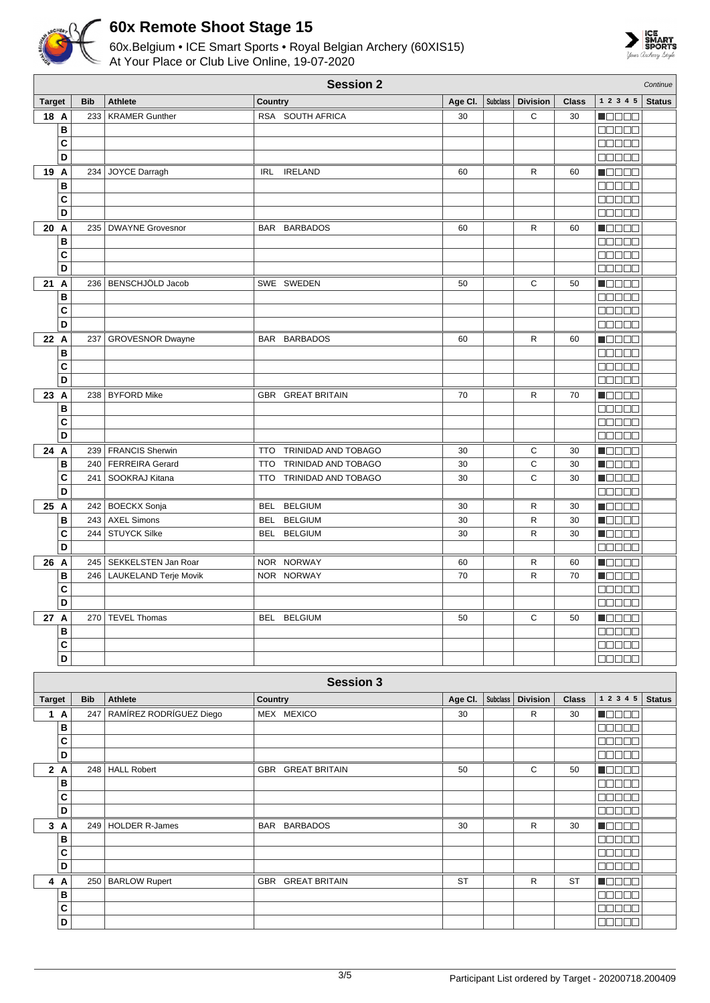



|               | <b>Session 2</b><br>Continue |            |                           |            |                          |         |          |                     |              |                                              |               |
|---------------|------------------------------|------------|---------------------------|------------|--------------------------|---------|----------|---------------------|--------------|----------------------------------------------|---------------|
| <b>Target</b> |                              | <b>Bib</b> | <b>Athlete</b>            | Country    |                          | Age Cl. | Subclass | <b>Division</b>     | <b>Class</b> | 1 2 3 4 5                                    | <b>Status</b> |
| 18 A          |                              | 233        | <b>KRAMER Gunther</b>     |            | RSA SOUTH AFRICA         | 30      |          | C                   | 30           | $\blacksquare$                               |               |
|               | В                            |            |                           |            |                          |         |          |                     |              | a da da                                      |               |
|               | C                            |            |                           |            |                          |         |          |                     |              | <u>maaaa</u>                                 |               |
|               | D                            |            |                           |            |                          |         |          |                     |              | <b>NODOO</b>                                 |               |
| 19 A          |                              | 234        | JOYCE Darragh             | <b>IRL</b> | <b>IRELAND</b>           | 60      |          | R                   | 60           | N O O O O                                    |               |
|               | В                            |            |                           |            |                          |         |          |                     |              | 88888                                        |               |
|               | C                            |            |                           |            |                          |         |          |                     |              | <u>misisisis</u>                             |               |
|               | D                            |            |                           |            |                          |         |          |                     |              | a a a a a                                    |               |
| 20 A          |                              |            | 235   DWAYNE Grovesnor    |            | <b>BAR BARBADOS</b>      | 60      |          | R                   | 60           | M O O O O                                    |               |
|               | В                            |            |                           |            |                          |         |          |                     |              | 88888                                        |               |
|               | C<br>D                       |            |                           |            |                          |         |          |                     |              | a da da<br>00000                             |               |
|               |                              |            | 236 BENSCHJÖLD Jacob      |            |                          |         |          |                     |              |                                              |               |
| 21            | A<br>В                       |            |                           |            | SWE SWEDEN               | 50      |          | С                   | 50           | Maaaa<br><b>BBBBB</b>                        |               |
|               | C                            |            |                           |            |                          |         |          |                     |              | <b>MARGE</b>                                 |               |
|               | D                            |            |                           |            |                          |         |          |                     |              | 88888                                        |               |
| 22 A          |                              | 237        | <b>GROVESNOR Dwayne</b>   |            | BAR BARBADOS             | 60      |          | R                   | 60           | n do e d                                     |               |
|               | В                            |            |                           |            |                          |         |          |                     |              | 88888                                        |               |
|               | C                            |            |                           |            |                          |         |          |                     |              | 80000                                        |               |
|               | D                            |            |                           |            |                          |         |          |                     |              | <b>REBEE</b>                                 |               |
| 23 A          |                              |            | 238   BYFORD Mike         |            | GBR GREAT BRITAIN        | 70      |          | R                   | 70           | N B B B B                                    |               |
|               | В                            |            |                           |            |                          |         |          |                     |              | an an a                                      |               |
|               | C                            |            |                           |            |                          |         |          |                     |              | 80000                                        |               |
|               | D                            |            |                           |            |                          |         |          |                     |              | <b>BBBBB</b>                                 |               |
| 24 A          |                              |            | 239   FRANCIS Sherwin     | <b>TTO</b> | TRINIDAD AND TOBAGO      | 30      |          | С                   | 30           | N BE E B                                     |               |
|               | В                            |            | 240   FERREIRA Gerard     | <b>TTO</b> | TRINIDAD AND TOBAGO      | 30      |          | C                   | 30           | N B B B B                                    |               |
|               | C                            |            | 241   SOOKRAJ Kitana      |            | TTO TRINIDAD AND TOBAGO  | 30      |          | C                   | 30           | <u>i i se se</u>                             |               |
|               | D                            |            |                           |            |                          |         |          |                     |              | <b>NOBOO</b>                                 |               |
| 25 A          |                              |            | 242 BOECKX Sonja          | <b>BEL</b> | <b>BELGIUM</b>           | 30      |          | R                   | 30           | MONDO                                        |               |
|               | В                            |            | 243 AXEL Simons           | <b>BEL</b> | <b>BELGIUM</b>           | 30      |          | R                   | 30           | Maaaa                                        |               |
|               | C                            |            | 244 STUYCK Silke          |            | BEL BELGIUM              | 30      |          | R                   | 30           | <b>MODOO</b>                                 |               |
|               | D                            |            |                           |            |                          |         |          |                     |              | 00000                                        |               |
| 26 A          |                              |            | 245   SEKKELSTEN Jan Roar |            | NOR NORWAY               | 60      |          | R                   | 60           | $\blacksquare$ $\square$ $\square$ $\square$ |               |
|               | в                            | 246        | LAUKELAND Terje Movik     |            | NOR NORWAY               | 70      |          | R                   | 70           | Maaaa                                        |               |
|               | C                            |            |                           |            |                          |         |          |                     |              | an na n                                      |               |
|               | D                            |            |                           |            |                          |         |          |                     |              | <b>NODOO</b>                                 |               |
| 27 A          |                              |            | 270 TEVEL Thomas          |            | BEL BELGIUM              | 50      |          | C                   | 50           | N DE BE                                      |               |
|               | В<br>C                       |            |                           |            |                          |         |          |                     |              | <b>00000</b><br><b>00000</b>                 |               |
|               | D                            |            |                           |            |                          |         |          |                     |              | 88888                                        |               |
|               |                              |            |                           |            |                          |         |          |                     |              |                                              |               |
|               |                              |            |                           |            | <b>Session 3</b>         |         |          |                     |              |                                              |               |
| <b>Target</b> |                              | <b>Bib</b> | <b>Athlete</b>            | Country    |                          | Age Cl. |          | Subclass   Division | <b>Class</b> | $1 2 3 4 5$ Status                           |               |
|               | 1 A                          | 247        | RAMÍREZ RODRÍGUEZ Diego   |            | MEX MEXICO               | 30      |          | $\mathsf{R}$        | 30           | Maaaa                                        |               |
|               | В                            |            |                           |            |                          |         |          |                     |              | 88888                                        |               |
|               | C                            |            |                           |            |                          |         |          |                     |              | 88888                                        |               |
|               | D                            |            |                           |            |                          |         |          |                     |              | 00000                                        |               |
|               | 2A                           |            | 248 HALL Robert           |            | <b>GBR GREAT BRITAIN</b> | 50      |          | $\mathbf C$         | 50           | <b>MODOO</b>                                 |               |
|               | В                            |            |                           |            |                          |         |          |                     |              | <b>00000</b>                                 |               |
|               | С                            |            |                           |            |                          |         |          |                     |              | 00000                                        |               |
|               | D                            |            |                           |            |                          |         |          |                     |              | 00000                                        |               |
|               | 3A                           |            | 249   HOLDER R-James      |            | BAR BARBADOS             | 30      |          | R                   | 30           | <b>H</b> OOOO                                |               |
|               | В                            |            |                           |            |                          |         |          |                     |              | 88888                                        |               |
|               | С                            |            |                           |            |                          |         |          |                     |              | 88888                                        |               |
|               | D                            |            |                           |            |                          |         |          |                     |              | <b>00000</b>                                 |               |
|               | 4 A                          |            | 250   BARLOW Rupert       |            | GBR GREAT BRITAIN        | ST      |          | R                   | ST           | <u>manaa</u>                                 |               |
|               | B                            |            |                           |            |                          |         |          |                     |              | 00000                                        |               |
|               | С                            |            |                           |            |                          |         |          |                     |              | 88888                                        |               |
|               | D                            |            |                           |            |                          |         |          |                     |              | 00000                                        |               |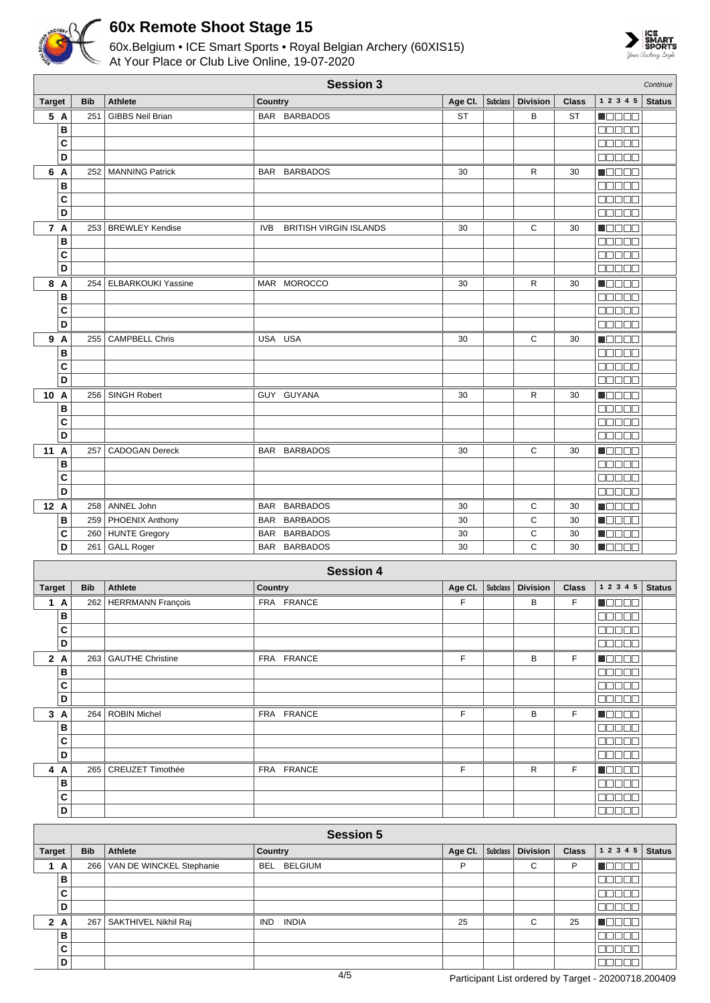



|                  |        |            |                           |                          | <b>Session 3</b>                   |          |                 |                 |              |                                             | Continue      |
|------------------|--------|------------|---------------------------|--------------------------|------------------------------------|----------|-----------------|-----------------|--------------|---------------------------------------------|---------------|
| <b>Target</b>    |        | <b>Bib</b> | <b>Athlete</b>            | <b>Country</b>           |                                    | Age CI.  | Subclass        | <b>Division</b> | <b>Class</b> | 1 2 3 4 5                                   | <b>Status</b> |
|                  | 5 A    | 251        | <b>GIBBS Neil Brian</b>   |                          | BAR BARBADOS                       | ST       |                 | В               | <b>ST</b>    | Maaaa                                       |               |
|                  | В      |            |                           |                          |                                    |          |                 |                 |              | MO DE E                                     |               |
|                  | C      |            |                           |                          |                                    |          |                 |                 |              | 00000                                       |               |
|                  | D      |            |                           |                          |                                    |          |                 |                 |              | $\Box\Box\Box\Box\Box$                      |               |
|                  | 6 A    | 252        | <b>MANNING Patrick</b>    |                          | BAR BARBADOS                       | 30       |                 | R               | 30           | HOOOO                                       |               |
|                  | В      |            |                           |                          |                                    |          |                 |                 |              | $\Box$ $\Box$ $\Box$ $\Box$ $\Box$          |               |
|                  | C      |            |                           |                          |                                    |          |                 |                 |              | aaaaa                                       |               |
|                  | D      |            |                           |                          |                                    |          |                 |                 |              | Maaa a                                      |               |
|                  | 7 A    |            | 253   BREWLEY Kendise     | IVB                      | <b>BRITISH VIRGIN ISLANDS</b>      | 30       |                 | C               | 30           | Maaaa                                       |               |
|                  | B      |            |                           |                          |                                    |          |                 |                 |              | 88888                                       |               |
|                  | C      |            |                           |                          |                                    |          |                 |                 |              | <b>BBBBB</b>                                |               |
|                  | D      |            |                           |                          |                                    |          |                 |                 |              | e e e e e                                   |               |
| 8                | A      | 254        | <b>ELBARKOUKI Yassine</b> |                          | MAR MOROCCO                        | 30       |                 | R               | 30           | a je po se                                  |               |
|                  | В      |            |                           |                          |                                    |          |                 |                 |              | aa aa a                                     |               |
|                  | C      |            |                           |                          |                                    |          |                 |                 |              | 00000                                       |               |
|                  | D      |            |                           |                          |                                    |          |                 |                 |              | 00000                                       |               |
|                  | 9 A    | 255        | <b>CAMPBELL Chris</b>     |                          | USA USA                            | 30       |                 | C               | 30           | N O D O O                                   |               |
|                  | B      |            |                           |                          |                                    |          |                 |                 |              | Ma Sa S                                     |               |
|                  | C      |            |                           |                          |                                    |          |                 |                 |              | na sa s                                     |               |
|                  | D      |            |                           |                          |                                    |          |                 |                 |              | 88888                                       |               |
| 10 A             |        | 256        | <b>SINGH Robert</b>       |                          | GUY GUYANA                         | 30       |                 | R               | 30           | <b>Manag</b>                                |               |
|                  | В      |            |                           |                          |                                    |          |                 |                 |              | 00000                                       |               |
|                  | C      |            |                           |                          |                                    |          |                 |                 |              | Maaaa                                       |               |
|                  | D      |            |                           |                          |                                    |          |                 |                 |              | $\Box\Box\Box\Box$                          |               |
| 11               | Α      | 257        | <b>CADOGAN Dereck</b>     |                          | BAR BARBADOS                       | 30       |                 | С               | 30           | Maaaa                                       |               |
|                  | В      |            |                           |                          |                                    |          |                 |                 |              | $\Box$ $\Box$ $\Box$ $\Box$ $\Box$<br>00000 |               |
|                  | C<br>D |            |                           |                          |                                    |          |                 |                 |              | MUNICI                                      |               |
| 12 A             |        |            | ANNEL John                |                          |                                    |          |                 |                 |              |                                             |               |
|                  | В      | 258<br>259 | <b>PHOENIX Anthony</b>    | <b>BAR</b><br><b>BAR</b> | <b>BARBADOS</b><br><b>BARBADOS</b> | 30<br>30 |                 | С<br>C          | 30<br>30     | n de ele<br>- 100 C C                       |               |
|                  | С      | 260        | HUNTE Gregory             |                          | BAR BARBADOS                       | 30       |                 | C               | 30           | n dia 1912.                                 |               |
|                  | D      | 261        | <b>GALL Roger</b>         |                          | BAR BARBADOS                       | 30       |                 | C               | 30           |                                             |               |
|                  |        |            |                           |                          |                                    |          |                 |                 |              |                                             |               |
| <b>Session 4</b> |        |            |                           |                          |                                    |          |                 |                 |              |                                             |               |
| <b>Target</b>    |        | <b>Bib</b> | <b>Athlete</b>            | Country                  |                                    | Age CI.  | <b>Subclass</b> | <b>Division</b> | <b>Class</b> | 1 2 3 4 5                                   | <b>Status</b> |
|                  | 1 A    |            | 262 HERRMANN François     |                          | FRA FRANCE                         | F        |                 | В               | F            | N O O O O                                   |               |
|                  | В      |            |                           |                          |                                    |          |                 |                 |              | $\Box \Box \Box \Box \Box$                  |               |
|                  | C      |            |                           |                          |                                    |          |                 |                 |              | $\Box \Box \Box \Box \Box$                  |               |
|                  | D      |            |                           |                          |                                    |          |                 |                 |              | 00000                                       |               |
|                  | 2A     |            | 263   GAUTHE Christine    |                          | FRA FRANCE                         | F        |                 | В               | F            | <b>MODDE</b>                                |               |
|                  | В      |            |                           |                          |                                    |          |                 |                 |              | 00000                                       |               |
|                  | С      |            |                           |                          |                                    |          |                 |                 |              | 00000                                       |               |
|                  | D      |            |                           |                          |                                    |          |                 |                 |              | 88888                                       |               |
|                  | 3A     |            | 264 ROBIN Michel          |                          | FRA FRANCE                         | F        |                 | B               | F            | <b>Maca</b>                                 |               |

| 3                | A   |  | 264   ROBIN Michel     | FRA FRANCE |  |  | B |  |  |  |
|------------------|-----|--|------------------------|------------|--|--|---|--|--|--|
|                  | в   |  |                        |            |  |  |   |  |  |  |
|                  | C   |  |                        |            |  |  |   |  |  |  |
|                  | D   |  |                        |            |  |  |   |  |  |  |
|                  | 4 A |  | 265   CREUZET Timothée | FRA FRANCE |  |  | R |  |  |  |
|                  | в   |  |                        |            |  |  |   |  |  |  |
|                  | C   |  |                        |            |  |  |   |  |  |  |
|                  | D   |  |                        |            |  |  |   |  |  |  |
|                  |     |  |                        |            |  |  |   |  |  |  |
| <b>Session 5</b> |     |  |                        |            |  |  |   |  |  |  |
|                  |     |  |                        |            |  |  |   |  |  |  |

| <b>Target</b> |     | <b>Bib</b> | Athlete                      | Country             | Age Cl. | Subclass | Division | <b>Class</b> | 12345 | <b>Status</b> |
|---------------|-----|------------|------------------------------|---------------------|---------|----------|----------|--------------|-------|---------------|
| 1             | A   |            | 266 VAN DE WINCKEL Stephanie | BEL BELGIUM         | D       |          | С        | D            |       |               |
|               | в   |            |                              |                     |         |          |          |              |       |               |
|               | C   |            |                              |                     |         |          |          |              |       |               |
|               | D   |            |                              |                     |         |          |          |              |       |               |
|               | 2 A |            | 267   SAKTHIVEL Nikhil Raj   | INDIA<br><b>IND</b> | 25      |          | С        | 25           |       |               |
|               | B   |            |                              |                     |         |          |          |              |       |               |
|               | C   |            |                              |                     |         |          |          |              |       |               |
|               | D   |            |                              |                     |         |          |          |              |       |               |